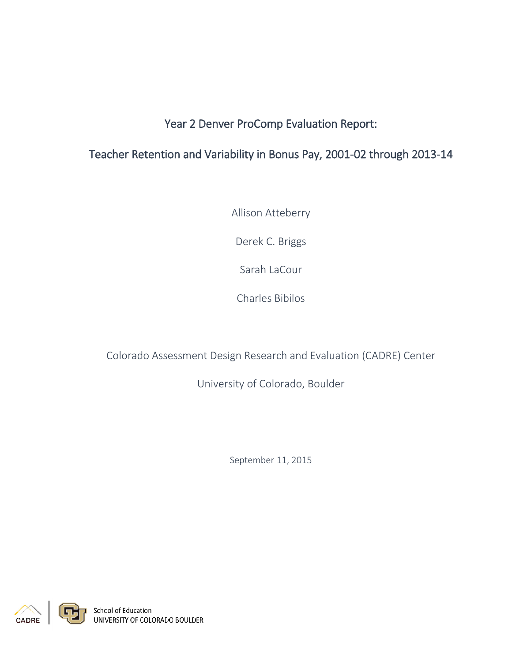# Year 2 Denver ProComp Evaluation Report:

## Teacher Retention and Variability in Bonus Pay, 2001-02 through 2013-14

Allison Atteberry

Derek C. Briggs

Sarah LaCour

Charles Bibilos

Colorado Assessment Design Research and Evaluation (CADRE) Center

University of Colorado, Boulder

September 11, 2015

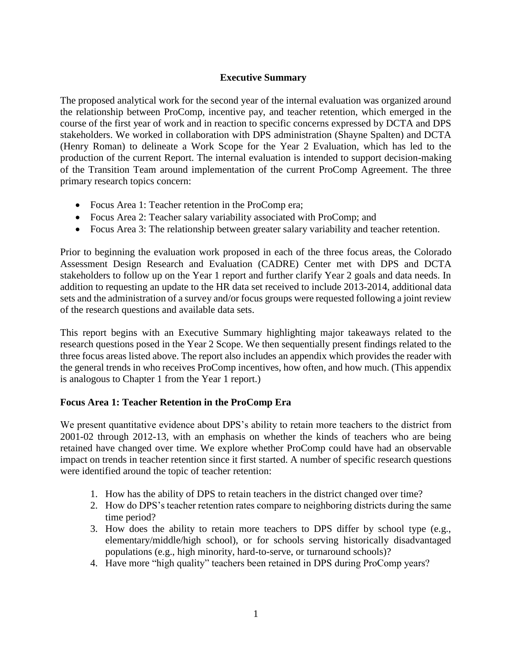### **Executive Summary**

The proposed analytical work for the second year of the internal evaluation was organized around the relationship between ProComp, incentive pay, and teacher retention, which emerged in the course of the first year of work and in reaction to specific concerns expressed by DCTA and DPS stakeholders. We worked in collaboration with DPS administration (Shayne Spalten) and DCTA (Henry Roman) to delineate a Work Scope for the Year 2 Evaluation, which has led to the production of the current Report. The internal evaluation is intended to support decision-making of the Transition Team around implementation of the current ProComp Agreement. The three primary research topics concern:

- Focus Area 1: Teacher retention in the ProComp era;
- Focus Area 2: Teacher salary variability associated with ProComp; and
- Focus Area 3: The relationship between greater salary variability and teacher retention.

Prior to beginning the evaluation work proposed in each of the three focus areas, the Colorado Assessment Design Research and Evaluation (CADRE) Center met with DPS and DCTA stakeholders to follow up on the Year 1 report and further clarify Year 2 goals and data needs. In addition to requesting an update to the HR data set received to include 2013-2014, additional data sets and the administration of a survey and/or focus groups were requested following a joint review of the research questions and available data sets.

This report begins with an Executive Summary highlighting major takeaways related to the research questions posed in the Year 2 Scope. We then sequentially present findings related to the three focus areas listed above. The report also includes an appendix which provides the reader with the general trends in who receives ProComp incentives, how often, and how much. (This appendix is analogous to Chapter 1 from the Year 1 report.)

#### **Focus Area 1: Teacher Retention in the ProComp Era**

We present quantitative evidence about DPS's ability to retain more teachers to the district from 2001-02 through 2012-13, with an emphasis on whether the kinds of teachers who are being retained have changed over time. We explore whether ProComp could have had an observable impact on trends in teacher retention since it first started. A number of specific research questions were identified around the topic of teacher retention:

- 1. How has the ability of DPS to retain teachers in the district changed over time?
- 2. How do DPS's teacher retention rates compare to neighboring districts during the same time period?
- 3. How does the ability to retain more teachers to DPS differ by school type (e.g., elementary/middle/high school), or for schools serving historically disadvantaged populations (e.g., high minority, hard-to-serve, or turnaround schools)?
- 4. Have more "high quality" teachers been retained in DPS during ProComp years?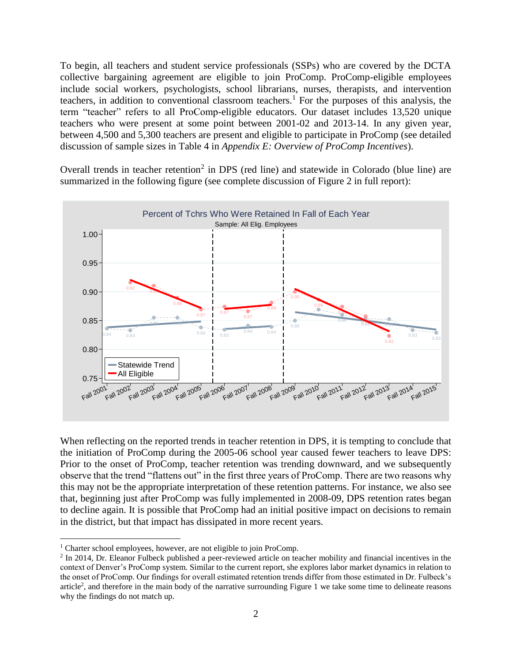To begin, all teachers and student service professionals (SSPs) who are covered by the DCTA collective bargaining agreement are eligible to join ProComp. ProComp-eligible employees include social workers, psychologists, school librarians, nurses, therapists, and intervention teachers, in addition to conventional classroom teachers.<sup>1</sup> For the purposes of this analysis, the term "teacher" refers to all ProComp-eligible educators. Our dataset includes 13,520 unique teachers who were present at some point between 2001-02 and 2013-14. In any given year, between 4,500 and 5,300 teachers are present and eligible to participate in ProComp (see detailed discussion of sample sizes in Table 4 in *Appendix E: Overview of ProComp Incentives*).

Overall trends in teacher retention<sup>2</sup> in DPS (red line) and statewide in Colorado (blue line) are summarized in the following figure (see complete discussion of Figure 2 in full report):



When reflecting on the reported trends in teacher retention in DPS, it is tempting to conclude that the initiation of ProComp during the 2005-06 school year caused fewer teachers to leave DPS: Prior to the onset of ProComp, teacher retention was trending downward, and we subsequently observe that the trend "flattens out" in the first three years of ProComp. There are two reasons why this may not be the appropriate interpretation of these retention patterns. For instance, we also see that, beginning just after ProComp was fully implemented in 2008-09, DPS retention rates began to decline again. It is possible that ProComp had an initial positive impact on decisions to remain in the district, but that impact has dissipated in more recent years.

 $\overline{a}$ 

<sup>&</sup>lt;sup>1</sup> Charter school employees, however, are not eligible to join ProComp.

<sup>&</sup>lt;sup>2</sup> In 2014, Dr. Eleanor Fulbeck published a peer-reviewed article on teacher mobility and financial incentives in the context of Denver's ProComp system. Similar to the current report, she explores labor market dynamics in relation to the onset of ProComp. Our findings for overall estimated retention trends differ from those estimated in Dr. Fulbeck's article<sup>2</sup>, and therefore in the main body of the narrative surrounding Figure 1 we take some time to delineate reasons why the findings do not match up.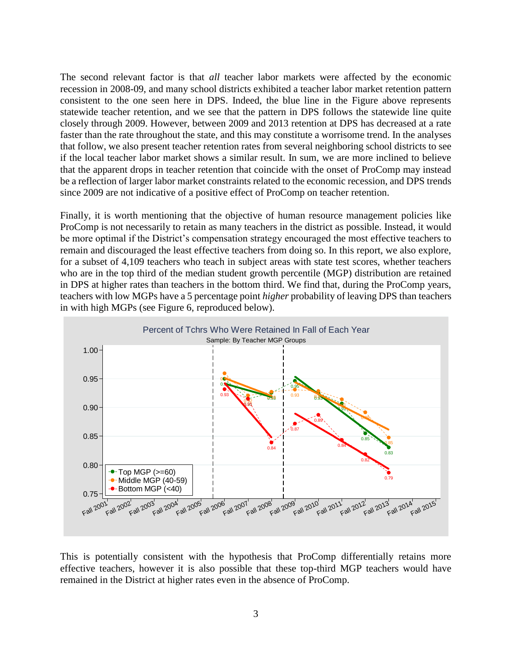The second relevant factor is that *all* teacher labor markets were affected by the economic recession in 2008-09, and many school districts exhibited a teacher labor market retention pattern consistent to the one seen here in DPS. Indeed, the blue line in the Figure above represents statewide teacher retention, and we see that the pattern in DPS follows the statewide line quite closely through 2009. However, between 2009 and 2013 retention at DPS has decreased at a rate faster than the rate throughout the state, and this may constitute a worrisome trend. In the analyses that follow, we also present teacher retention rates from several neighboring school districts to see if the local teacher labor market shows a similar result. In sum, we are more inclined to believe that the apparent drops in teacher retention that coincide with the onset of ProComp may instead be a reflection of larger labor market constraints related to the economic recession, and DPS trends since 2009 are not indicative of a positive effect of ProComp on teacher retention.

Finally, it is worth mentioning that the objective of human resource management policies like ProComp is not necessarily to retain as many teachers in the district as possible. Instead, it would be more optimal if the District's compensation strategy encouraged the most effective teachers to remain and discouraged the least effective teachers from doing so. In this report, we also explore, for a subset of 4,109 teachers who teach in subject areas with state test scores, whether teachers who are in the top third of the median student growth percentile (MGP) distribution are retained in DPS at higher rates than teachers in the bottom third. We find that, during the ProComp years, teachers with low MGPs have a 5 percentage point *higher* probability of leaving DPS than teachers in with high MGPs (see Figure 6, reproduced below).



This is potentially consistent with the hypothesis that ProComp differentially retains more effective teachers, however it is also possible that these top-third MGP teachers would have remained in the District at higher rates even in the absence of ProComp.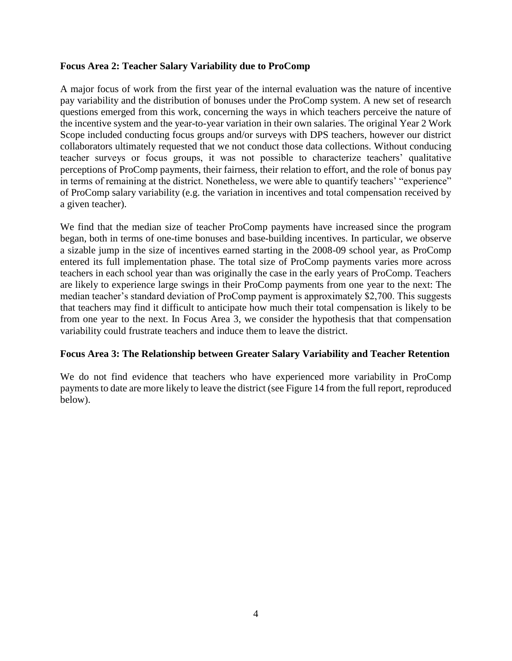#### **Focus Area 2: Teacher Salary Variability due to ProComp**

A major focus of work from the first year of the internal evaluation was the nature of incentive pay variability and the distribution of bonuses under the ProComp system. A new set of research questions emerged from this work, concerning the ways in which teachers perceive the nature of the incentive system and the year-to-year variation in their own salaries. The original Year 2 Work Scope included conducting focus groups and/or surveys with DPS teachers, however our district collaborators ultimately requested that we not conduct those data collections. Without conducing teacher surveys or focus groups, it was not possible to characterize teachers' qualitative perceptions of ProComp payments, their fairness, their relation to effort, and the role of bonus pay in terms of remaining at the district. Nonetheless, we were able to quantify teachers' "experience" of ProComp salary variability (e.g. the variation in incentives and total compensation received by a given teacher).

We find that the median size of teacher ProComp payments have increased since the program began, both in terms of one-time bonuses and base-building incentives. In particular, we observe a sizable jump in the size of incentives earned starting in the 2008-09 school year, as ProComp entered its full implementation phase. The total size of ProComp payments varies more across teachers in each school year than was originally the case in the early years of ProComp. Teachers are likely to experience large swings in their ProComp payments from one year to the next: The median teacher's standard deviation of ProComp payment is approximately \$2,700. This suggests that teachers may find it difficult to anticipate how much their total compensation is likely to be from one year to the next. In Focus Area 3, we consider the hypothesis that that compensation variability could frustrate teachers and induce them to leave the district.

#### **Focus Area 3: The Relationship between Greater Salary Variability and Teacher Retention**

We do not find evidence that teachers who have experienced more variability in ProComp payments to date are more likely to leave the district (see Figure 14 from the full report, reproduced below).